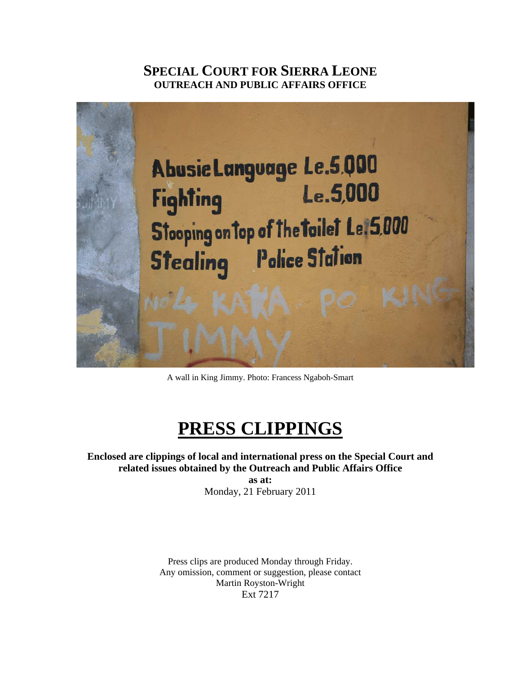## **SPECIAL COURT FOR SIERRA LEONE OUTREACH AND PUBLIC AFFAIRS OFFICE**



A wall in King Jimmy. Photo: Francess Ngaboh-Smart

# **PRESS CLIPPINGS**

#### **Enclosed are clippings of local and international press on the Special Court and related issues obtained by the Outreach and Public Affairs Office as at:**

Monday, 21 February 2011

Press clips are produced Monday through Friday. Any omission, comment or suggestion, please contact Martin Royston-Wright Ext 7217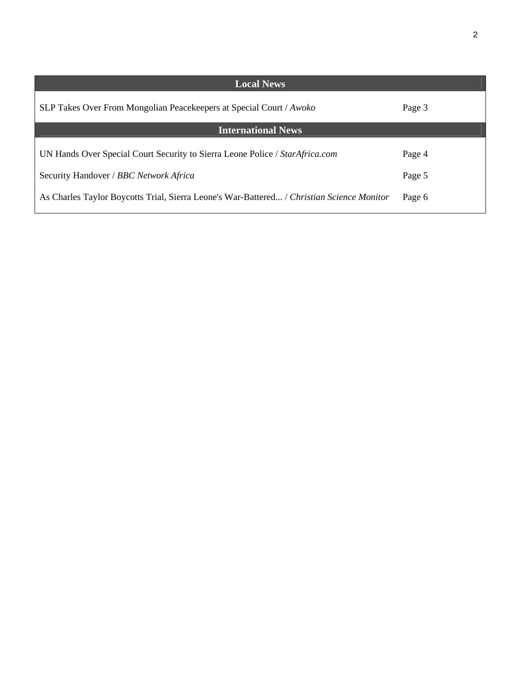| <b>Local News</b>                                                                         |        |
|-------------------------------------------------------------------------------------------|--------|
| SLP Takes Over From Mongolian Peacekeepers at Special Court / Awoko                       | Page 3 |
| <b>International News</b>                                                                 |        |
| UN Hands Over Special Court Security to Sierra Leone Police / StarAfrica.com              | Page 4 |
| Security Handover / BBC Network Africa                                                    | Page 5 |
| As Charles Taylor Boycotts Trial, Sierra Leone's War-Battered / Christian Science Monitor | Page 6 |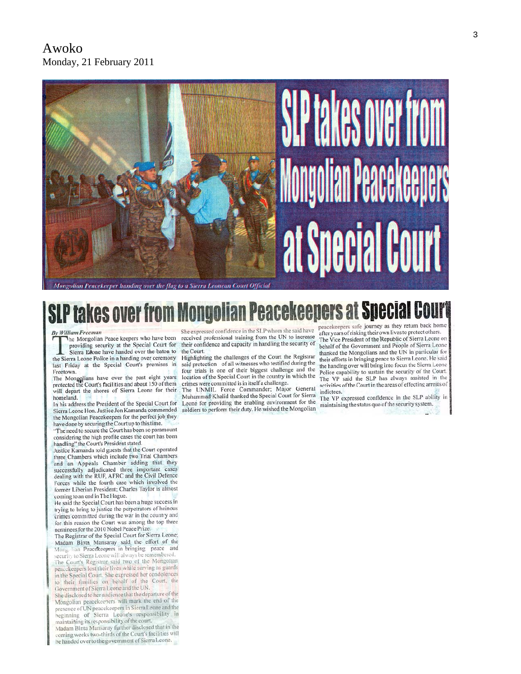

Mongolian Peacekeeper handing over the flag to a Sierra Leonean Court Official

#### **Peacekeepers at Spec SLP takes ove** peacekeepers safe journey as they return back home

**By William Freeman** 

The Mongolian Peace keepers who have been providing security at the Special Court for Sierra Edone have handed over the baton to

the Sierra Leone Police in a handing over ceremony last Friday at the Special Court's premises in Freetown.

The Mongolians have over the past eight years<br>protected the Court's facilities and about 150 of them will depart the shores of Sierra Leone for their homeland.

In his address the President of the Special Court for Sierra Leone Hon. Justice Jon Kamanda commended the Mongolian Peacekeepers for the perfect job they have done by securing the Court up to this time.

"The need to secure the Court has been so paramount considering the high profile cases the court has been<br>handling" the Court's President stated.

Justice Kamanda told guests that the Court operated three Chambers which include two Trial Chambers and an Appeals Chamber adding that they successfully adjudicated three important cases dealing with the RUF, AFRC and the Civil Defence Forces while the fourth case which involved the former Liberian President; Charles Taylor is almost coming to an end in The Hague.

He said the Special Court has been a huge success in trying to bring to justice the perpetrators of heinous crimes committed during the war in the country and for this reason the Court was among the top three nominees for the 2010 Nobel Peace Prize.

The Registrar of the Special Court for Sierra Leone; Madam Binta Mansaray said the effort of the Mong lian Peacekeepers in bringing peace and security to Sierra Leone will always be remembered. The Court's Registrar said two of the Mongolian peacekeepers lost their lives while serving as guards in the Special Court. She expressed her condolences

to their families on behalf of the Court, the Government of Sierra Leone and the UN. She disclosed to her audience that the departure of the

Mongolian peacekeepers will mark the end of the presence of UN peacekeepers in Sierra Leone and the<br>beginning of Sierra Leone's responsibility in maintaining of Bicha Books Responsibility<br>maintaining its responsibility of the court.<br>Madam Binta Mansaray further disclosed that in the

coming weeks two-thirds of the Court's facilities will be handed over to the government of Sierra Leone.

She expressed confidence in the SLP whom she said have received professional training from the UN to increase their confidence and capacity in handling the security of the Court.

Highlighting the challenges of the Court the Registrar said protection of all witnesses who testified during the four trials is one of their biggest challenge and the location of the Special Court in the country in which the crimes were committed is in itself a challenge.<br>The UNMIL Force Commander; Major General

Muhammad Khalid thanked the Special Court for Sierra Leone for providing the enabling environment for the soldiers to perform their duty. He wished the Mongolian

after years of risking their own lives to protect others. The Vice President of the Republic of Sierra Leone on behalf of the Government and People of Sierra Leone thanked the Mongolians and the UN in particular for their efforts in bringing peace to Sierra Leone. He said the handing over will bring into focus the Sierra Leone Police capability to sustain the security of the Court. The VP said the SLP has always assisted in the activities of the Court in the areas of effecting arrests of indictees.

The VP expressed confidence in the SLP ability in maintaining the status quo of the security system.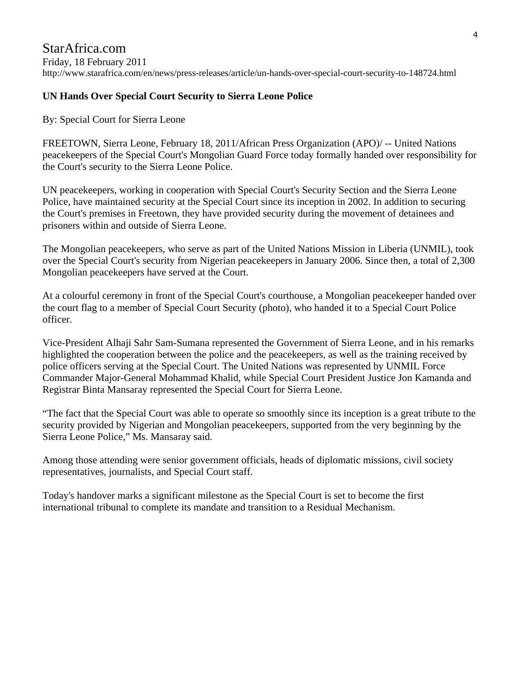#### StarAfrica.com Friday, 18 February 2011 http://www.starafrica.com/en/news/press-releases/article/un-hands-over-special-court-security-to-148724.html

## **UN Hands Over Special Court Security to Sierra Leone Police**

By: Special Court for Sierra Leone

FREETOWN, Sierra Leone, February 18, 2011/African Press Organization (APO)/ -- United Nations peacekeepers of the Special Court's Mongolian Guard Force today formally handed over responsibility for the Court's security to the Sierra Leone Police.

UN peacekeepers, working in cooperation with Special Court's Security Section and the Sierra Leone Police, have maintained security at the Special Court since its inception in 2002. In addition to securing the Court's premises in Freetown, they have provided security during the movement of detainees and prisoners within and outside of Sierra Leone.

The Mongolian peacekeepers, who serve as part of the United Nations Mission in Liberia (UNMIL), took over the Special Court's security from Nigerian peacekeepers in January 2006. Since then, a total of 2,300 Mongolian peacekeepers have served at the Court.

At a colourful ceremony in front of the Special Court's courthouse, a Mongolian peacekeeper handed over the court flag to a member of Special Court Security (photo), who handed it to a Special Court Police officer.

Vice-President Alhaji Sahr Sam-Sumana represented the Government of Sierra Leone, and in his remarks highlighted the cooperation between the police and the peacekeepers, as well as the training received by police officers serving at the Special Court. The United Nations was represented by UNMIL Force Commander Major-General Mohammad Khalid, while Special Court President Justice Jon Kamanda and Registrar Binta Mansaray represented the Special Court for Sierra Leone.

"The fact that the Special Court was able to operate so smoothly since its inception is a great tribute to the security provided by Nigerian and Mongolian peacekeepers, supported from the very beginning by the Sierra Leone Police," Ms. Mansaray said.

Among those attending were senior government officials, heads of diplomatic missions, civil society representatives, journalists, and Special Court staff.

Today's handover marks a significant milestone as the Special Court is set to become the first international tribunal to complete its mandate and transition to a Residual Mechanism.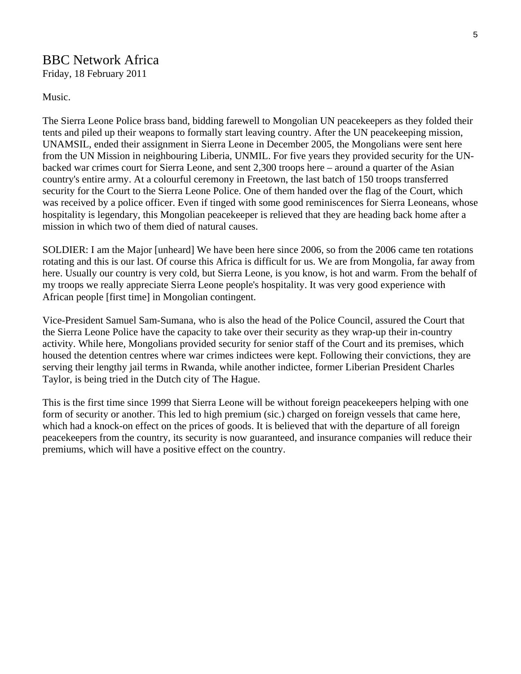## BBC Network Africa Friday, 18 February 2011

Music.

The Sierra Leone Police brass band, bidding farewell to Mongolian UN peacekeepers as they folded their tents and piled up their weapons to formally start leaving country. After the UN peacekeeping mission, UNAMSIL, ended their assignment in Sierra Leone in December 2005, the Mongolians were sent here from the UN Mission in neighbouring Liberia, UNMIL. For five years they provided security for the UNbacked war crimes court for Sierra Leone, and sent 2,300 troops here – around a quarter of the Asian country's entire army. At a colourful ceremony in Freetown, the last batch of 150 troops transferred security for the Court to the Sierra Leone Police. One of them handed over the flag of the Court, which was received by a police officer. Even if tinged with some good reminiscences for Sierra Leoneans, whose hospitality is legendary, this Mongolian peacekeeper is relieved that they are heading back home after a mission in which two of them died of natural causes.

SOLDIER: I am the Major [unheard] We have been here since 2006, so from the 2006 came ten rotations rotating and this is our last. Of course this Africa is difficult for us. We are from Mongolia, far away from here. Usually our country is very cold, but Sierra Leone, is you know, is hot and warm. From the behalf of my troops we really appreciate Sierra Leone people's hospitality. It was very good experience with African people [first time] in Mongolian contingent.

Vice-President Samuel Sam-Sumana, who is also the head of the Police Council, assured the Court that the Sierra Leone Police have the capacity to take over their security as they wrap-up their in-country activity. While here, Mongolians provided security for senior staff of the Court and its premises, which housed the detention centres where war crimes indictees were kept. Following their convictions, they are serving their lengthy jail terms in Rwanda, while another indictee, former Liberian President Charles Taylor, is being tried in the Dutch city of The Hague.

This is the first time since 1999 that Sierra Leone will be without foreign peacekeepers helping with one form of security or another. This led to high premium (sic.) charged on foreign vessels that came here, which had a knock-on effect on the prices of goods. It is believed that with the departure of all foreign peacekeepers from the country, its security is now guaranteed, and insurance companies will reduce their premiums, which will have a positive effect on the country.